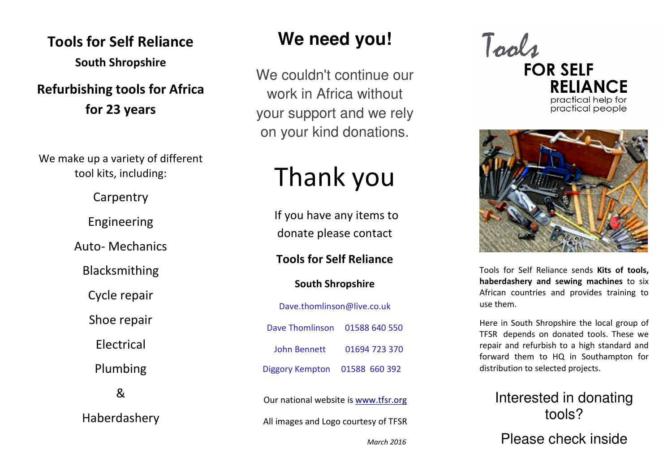# Tools for Self Reliance South Shropshire

## Refurbishing tools for Africa for 23 years

We make up a variety of different tool kits, including:

Carpentry

Engineering

Auto- Mechanics

Blacksmithing

Cycle repair

Shoe repair

Electrical

Plumbing

&

Haberdashery

# **We need you!**

We couldn't continue our work in Africa without your support and we rely on your kind donations.

# Thank you

If you have any items to donate please contact

#### Tools for Self Reliance

#### South Shropshire

Dave.thomlinson@live.co.uk Dave Thomlinson 01588 640 550 John Bennett 01694 723 370 Diggory Kempton 01588 660 392

Our national website is www.tfsr.orgAll images and Logo courtesy of TFSR

March 2016



practical help for practical people



Tools for Self Reliance sends Kits of tools, haberdashery and sewing machines to six African countries and provides training to use them.

Here in South Shropshire the local group of TFSR depends on donated tools. These we repair and refurbish to a high standard and forward them to HQ in Southampton for distribution to selected projects.

### Interested in donating tools?

Please check inside